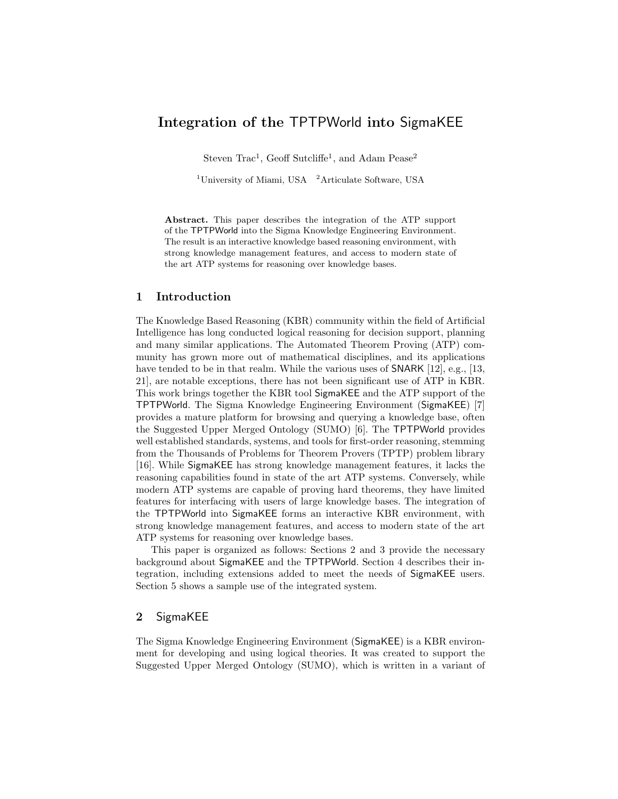# Integration of the TPTPWorld into SigmaKEE

Steven Trac<sup>1</sup>, Geoff Sutcliffe<sup>1</sup>, and Adam Pease<sup>2</sup>

<sup>1</sup>University of Miami, USA  $\mathrm{^{2}Articulate}$  Software, USA

Abstract. This paper describes the integration of the ATP support of the TPTPWorld into the Sigma Knowledge Engineering Environment. The result is an interactive knowledge based reasoning environment, with strong knowledge management features, and access to modern state of the art ATP systems for reasoning over knowledge bases.

## 1 Introduction

The Knowledge Based Reasoning (KBR) community within the field of Artificial Intelligence has long conducted logical reasoning for decision support, planning and many similar applications. The Automated Theorem Proving (ATP) community has grown more out of mathematical disciplines, and its applications have tended to be in that realm. While the various uses of **SNARK** [12], e.g., [13, 21], are notable exceptions, there has not been significant use of ATP in KBR. This work brings together the KBR tool SigmaKEE and the ATP support of the TPTPWorld. The Sigma Knowledge Engineering Environment (SigmaKEE) [7] provides a mature platform for browsing and querying a knowledge base, often the Suggested Upper Merged Ontology (SUMO) [6]. The TPTPWorld provides well established standards, systems, and tools for first-order reasoning, stemming from the Thousands of Problems for Theorem Provers (TPTP) problem library [16]. While SigmaKEE has strong knowledge management features, it lacks the reasoning capabilities found in state of the art ATP systems. Conversely, while modern ATP systems are capable of proving hard theorems, they have limited features for interfacing with users of large knowledge bases. The integration of the TPTPWorld into SigmaKEE forms an interactive KBR environment, with strong knowledge management features, and access to modern state of the art ATP systems for reasoning over knowledge bases.

This paper is organized as follows: Sections 2 and 3 provide the necessary background about SigmaKEE and the TPTPWorld. Section 4 describes their integration, including extensions added to meet the needs of SigmaKEE users. Section 5 shows a sample use of the integrated system.

## 2 SigmaKEE

The Sigma Knowledge Engineering Environment (SigmaKEE) is a KBR environment for developing and using logical theories. It was created to support the Suggested Upper Merged Ontology (SUMO), which is written in a variant of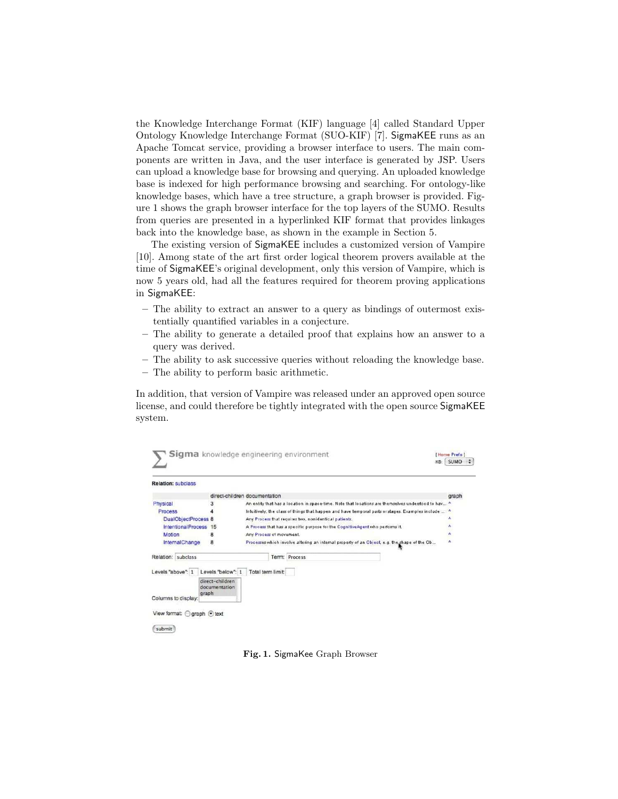the Knowledge Interchange Format (KIF) language [4] called Standard Upper Ontology Knowledge Interchange Format (SUO-KIF) [7]. SigmaKEE runs as an Apache Tomcat service, providing a browser interface to users. The main components are written in Java, and the user interface is generated by JSP. Users can upload a knowledge base for browsing and querying. An uploaded knowledge base is indexed for high performance browsing and searching. For ontology-like knowledge bases, which have a tree structure, a graph browser is provided. Figure 1 shows the graph browser interface for the top layers of the SUMO. Results from queries are presented in a hyperlinked KIF format that provides linkages back into the knowledge base, as shown in the example in Section 5.

The existing version of SigmaKEE includes a customized version of Vampire [10]. Among state of the art first order logical theorem provers available at the time of SigmaKEE's original development, only this version of Vampire, which is now 5 years old, had all the features required for theorem proving applications in SigmaKEE:

- The ability to extract an answer to a query as bindings of outermost existentially quantified variables in a conjecture.
- The ability to generate a detailed proof that explains how an answer to a query was derived.
- The ability to ask successive queries without reloading the knowledge base.
- The ability to perform basic arithmetic.

In addition, that version of Vampire was released under an approved open source license, and could therefore be tightly integrated with the open source SigmaKEE system.

| <b>Relation: subclass</b>    |                                  |                                                                                                     |       |
|------------------------------|----------------------------------|-----------------------------------------------------------------------------------------------------|-------|
|                              |                                  | direct-children documentation                                                                       | graph |
| Physical                     | 3                                | An entity that has a location in space-time. Note that locations are themselves understood to hav ^ |       |
| Process                      |                                  | Intuitively, the class of things that happen and have temporal parts or stages. Examples include    |       |
| DualObjectProcess 8          |                                  | Any Process that requires two, nonidentical patients.                                               | ٨     |
| <b>IntentionalProcess</b>    | 15                               | A Process that has a specific purpose for the CognitiveAgent who performs it.                       | ۸     |
| Motion                       | 8                                | Any Process of movement.                                                                            | ۸     |
| InternalChange               | 8                                | Processes which involve altering an internal property of an Object, e.g. the shape of the Ob        | ٨     |
| Relation: subclass           |                                  | Term: Process                                                                                       |       |
| Levels "above": 1            | Levels "below": 1                | Total term limit:                                                                                   |       |
| graph<br>Columns to display: | direct-children<br>documentation |                                                                                                     |       |

Fig. 1. SigmaKee Graph Browser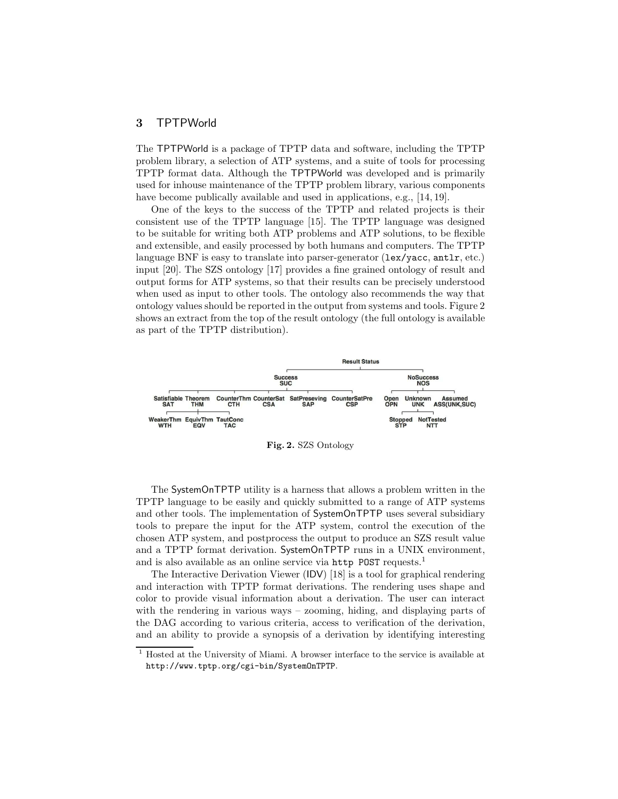## 3 TPTPWorld

The TPTPWorld is a package of TPTP data and software, including the TPTP problem library, a selection of ATP systems, and a suite of tools for processing TPTP format data. Although the TPTPWorld was developed and is primarily used for inhouse maintenance of the TPTP problem library, various components have become publically available and used in applications, e.g., [14, 19].

One of the keys to the success of the TPTP and related projects is their consistent use of the TPTP language [15]. The TPTP language was designed to be suitable for writing both ATP problems and ATP solutions, to be flexible and extensible, and easily processed by both humans and computers. The TPTP language BNF is easy to translate into parser-generator (lex/yacc, antlr, etc.) input [20]. The SZS ontology [17] provides a fine grained ontology of result and output forms for ATP systems, so that their results can be precisely understood when used as input to other tools. The ontology also recommends the way that ontology values should be reported in the output from systems and tools. Figure 2 shows an extract from the top of the result ontology (the full ontology is available as part of the TPTP distribution).



Fig. 2. SZS Ontology

The SystemOnTPTP utility is a harness that allows a problem written in the TPTP language to be easily and quickly submitted to a range of ATP systems and other tools. The implementation of SystemOnTPTP uses several subsidiary tools to prepare the input for the ATP system, control the execution of the chosen ATP system, and postprocess the output to produce an SZS result value and a TPTP format derivation. SystemOnTPTP runs in a UNIX environment, and is also available as an online service via http POST requests.<sup>1</sup>

The Interactive Derivation Viewer (IDV) [18] is a tool for graphical rendering and interaction with TPTP format derivations. The rendering uses shape and color to provide visual information about a derivation. The user can interact with the rendering in various ways – zooming, hiding, and displaying parts of the DAG according to various criteria, access to verification of the derivation, and an ability to provide a synopsis of a derivation by identifying interesting

 $^{\rm 1}$  Hosted at the University of Miami. A browser interface to the service is available at http://www.tptp.org/cgi-bin/SystemOnTPTP.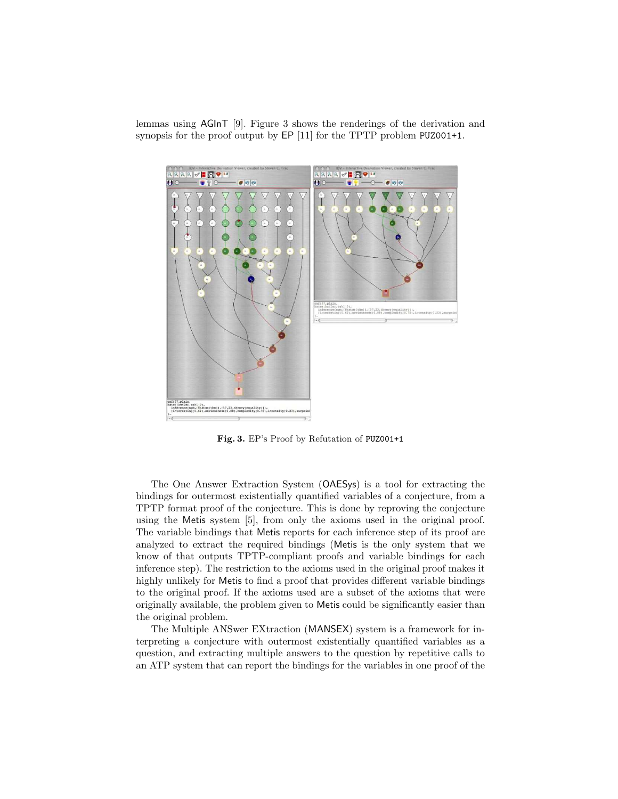lemmas using AGInT [9]. Figure 3 shows the renderings of the derivation and synopsis for the proof output by EP [11] for the TPTP problem PUZ001+1.



Fig. 3. EP's Proof by Refutation of PUZ001+1

The One Answer Extraction System (OAESys) is a tool for extracting the bindings for outermost existentially quantified variables of a conjecture, from a TPTP format proof of the conjecture. This is done by reproving the conjecture using the Metis system [5], from only the axioms used in the original proof. The variable bindings that Metis reports for each inference step of its proof are analyzed to extract the required bindings (Metis is the only system that we know of that outputs TPTP-compliant proofs and variable bindings for each inference step). The restriction to the axioms used in the original proof makes it highly unlikely for Metis to find a proof that provides different variable bindings to the original proof. If the axioms used are a subset of the axioms that were originally available, the problem given to Metis could be significantly easier than the original problem.

The Multiple ANSwer EXtraction (MANSEX) system is a framework for interpreting a conjecture with outermost existentially quantified variables as a question, and extracting multiple answers to the question by repetitive calls to an ATP system that can report the bindings for the variables in one proof of the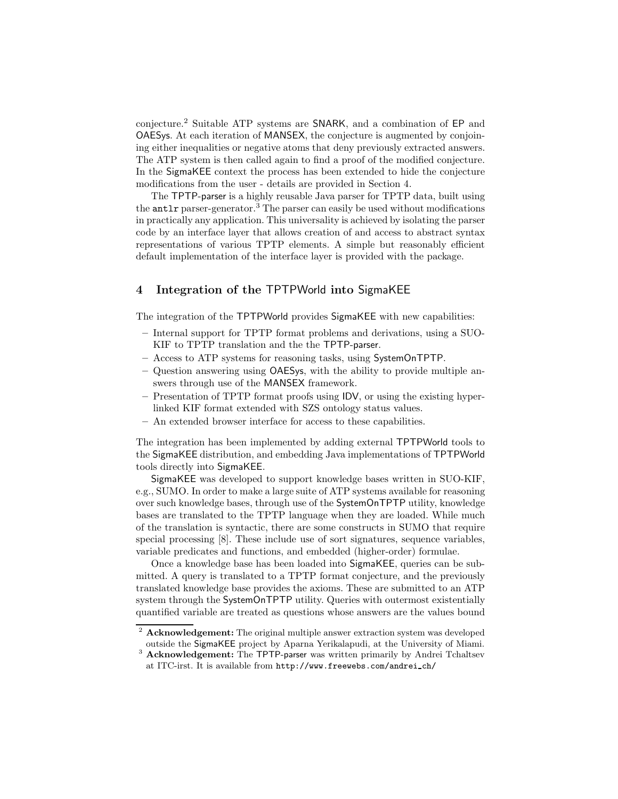conjecture.<sup>2</sup> Suitable ATP systems are SNARK, and a combination of EP and OAESys. At each iteration of MANSEX, the conjecture is augmented by conjoining either inequalities or negative atoms that deny previously extracted answers. The ATP system is then called again to find a proof of the modified conjecture. In the SigmaKEE context the process has been extended to hide the conjecture modifications from the user - details are provided in Section 4.

The TPTP-parser is a highly reusable Java parser for TPTP data, built using the antlr parser-generator.<sup>3</sup> The parser can easily be used without modifications in practically any application. This universality is achieved by isolating the parser code by an interface layer that allows creation of and access to abstract syntax representations of various TPTP elements. A simple but reasonably efficient default implementation of the interface layer is provided with the package.

## 4 Integration of the TPTPWorld into SigmaKEE

The integration of the TPTPWorld provides SigmaKEE with new capabilities:

- Internal support for TPTP format problems and derivations, using a SUO-KIF to TPTP translation and the the TPTP-parser.
- Access to ATP systems for reasoning tasks, using SystemOnTPTP.
- Question answering using OAESys, with the ability to provide multiple answers through use of the MANSEX framework.
- Presentation of TPTP format proofs using IDV, or using the existing hyperlinked KIF format extended with SZS ontology status values.
- An extended browser interface for access to these capabilities.

The integration has been implemented by adding external TPTPWorld tools to the SigmaKEE distribution, and embedding Java implementations of TPTPWorld tools directly into SigmaKEE.

SigmaKEE was developed to support knowledge bases written in SUO-KIF, e.g., SUMO. In order to make a large suite of ATP systems available for reasoning over such knowledge bases, through use of the SystemOnTPTP utility, knowledge bases are translated to the TPTP language when they are loaded. While much of the translation is syntactic, there are some constructs in SUMO that require special processing [8]. These include use of sort signatures, sequence variables, variable predicates and functions, and embedded (higher-order) formulae.

Once a knowledge base has been loaded into SigmaKEE, queries can be submitted. A query is translated to a TPTP format conjecture, and the previously translated knowledge base provides the axioms. These are submitted to an ATP system through the SystemOnTPTP utility. Queries with outermost existentially quantified variable are treated as questions whose answers are the values bound

<sup>&</sup>lt;sup>2</sup> Acknowledgement: The original multiple answer extraction system was developed outside the SigmaKEE project by Aparna Yerikalapudi, at the University of Miami.

<sup>&</sup>lt;sup>3</sup> Acknowledgement: The TPTP-parser was written primarily by Andrei Tchaltsev at ITC-irst. It is available from http://www.freewebs.com/andrei ch/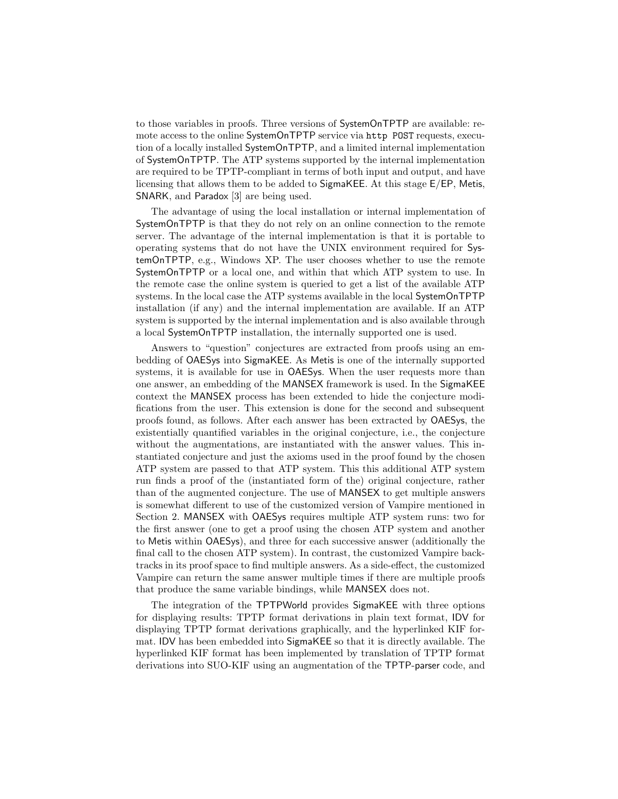to those variables in proofs. Three versions of SystemOnTPTP are available: remote access to the online SystemOnTPTP service via http POST requests, execution of a locally installed SystemOnTPTP, and a limited internal implementation of SystemOnTPTP. The ATP systems supported by the internal implementation are required to be TPTP-compliant in terms of both input and output, and have licensing that allows them to be added to SigmaKEE. At this stage E/EP, Metis, SNARK, and Paradox [3] are being used.

The advantage of using the local installation or internal implementation of SystemOnTPTP is that they do not rely on an online connection to the remote server. The advantage of the internal implementation is that it is portable to operating systems that do not have the UNIX environment required for SystemOnTPTP, e.g., Windows XP. The user chooses whether to use the remote SystemOnTPTP or a local one, and within that which ATP system to use. In the remote case the online system is queried to get a list of the available ATP systems. In the local case the ATP systems available in the local SystemOnTPTP installation (if any) and the internal implementation are available. If an ATP system is supported by the internal implementation and is also available through a local SystemOnTPTP installation, the internally supported one is used.

Answers to "question" conjectures are extracted from proofs using an embedding of OAESys into SigmaKEE. As Metis is one of the internally supported systems, it is available for use in OAESys. When the user requests more than one answer, an embedding of the MANSEX framework is used. In the SigmaKEE context the MANSEX process has been extended to hide the conjecture modifications from the user. This extension is done for the second and subsequent proofs found, as follows. After each answer has been extracted by OAESys, the existentially quantified variables in the original conjecture, i.e., the conjecture without the augmentations, are instantiated with the answer values. This instantiated conjecture and just the axioms used in the proof found by the chosen ATP system are passed to that ATP system. This this additional ATP system run finds a proof of the (instantiated form of the) original conjecture, rather than of the augmented conjecture. The use of MANSEX to get multiple answers is somewhat different to use of the customized version of Vampire mentioned in Section 2. MANSEX with OAESys requires multiple ATP system runs: two for the first answer (one to get a proof using the chosen ATP system and another to Metis within OAESys), and three for each successive answer (additionally the final call to the chosen ATP system). In contrast, the customized Vampire backtracks in its proof space to find multiple answers. As a side-effect, the customized Vampire can return the same answer multiple times if there are multiple proofs that produce the same variable bindings, while MANSEX does not.

The integration of the TPTPWorld provides SigmaKEE with three options for displaying results: TPTP format derivations in plain text format, IDV for displaying TPTP format derivations graphically, and the hyperlinked KIF format. IDV has been embedded into SigmaKEE so that it is directly available. The hyperlinked KIF format has been implemented by translation of TPTP format derivations into SUO-KIF using an augmentation of the TPTP-parser code, and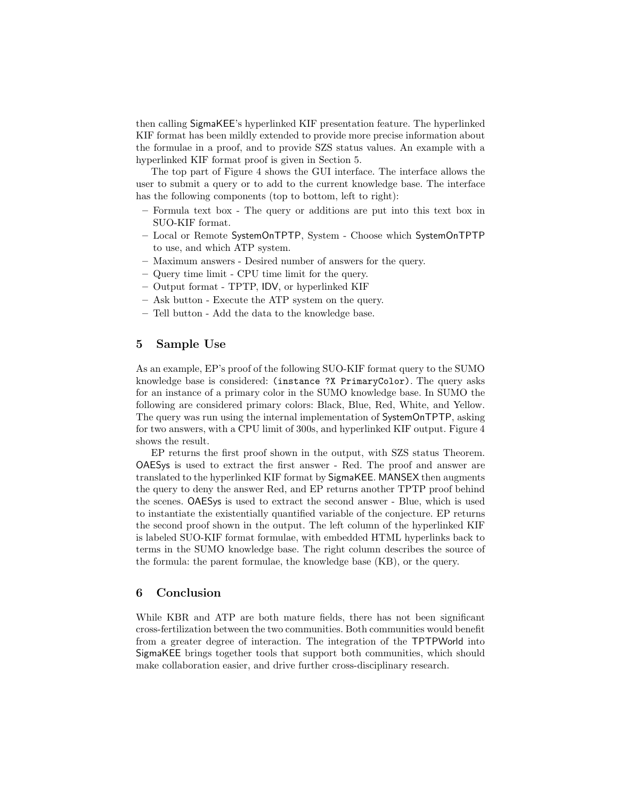then calling SigmaKEE's hyperlinked KIF presentation feature. The hyperlinked KIF format has been mildly extended to provide more precise information about the formulae in a proof, and to provide SZS status values. An example with a hyperlinked KIF format proof is given in Section 5.

The top part of Figure 4 shows the GUI interface. The interface allows the user to submit a query or to add to the current knowledge base. The interface has the following components (top to bottom, left to right):

- Formula text box The query or additions are put into this text box in SUO-KIF format.
- Local or Remote SystemOnTPTP, System Choose which SystemOnTPTP to use, and which ATP system.
- Maximum answers Desired number of answers for the query.
- Query time limit CPU time limit for the query.
- Output format TPTP, IDV, or hyperlinked KIF
- Ask button Execute the ATP system on the query.
- Tell button Add the data to the knowledge base.

## 5 Sample Use

As an example, EP's proof of the following SUO-KIF format query to the SUMO knowledge base is considered: (instance ?X PrimaryColor). The query asks for an instance of a primary color in the SUMO knowledge base. In SUMO the following are considered primary colors: Black, Blue, Red, White, and Yellow. The query was run using the internal implementation of SystemOnTPTP, asking for two answers, with a CPU limit of 300s, and hyperlinked KIF output. Figure 4 shows the result.

EP returns the first proof shown in the output, with SZS status Theorem. OAESys is used to extract the first answer - Red. The proof and answer are translated to the hyperlinked KIF format by SigmaKEE. MANSEX then augments the query to deny the answer Red, and EP returns another TPTP proof behind the scenes. OAESys is used to extract the second answer - Blue, which is used to instantiate the existentially quantified variable of the conjecture. EP returns the second proof shown in the output. The left column of the hyperlinked KIF is labeled SUO-KIF format formulae, with embedded HTML hyperlinks back to terms in the SUMO knowledge base. The right column describes the source of the formula: the parent formulae, the knowledge base (KB), or the query.

## 6 Conclusion

While KBR and ATP are both mature fields, there has not been significant cross-fertilization between the two communities. Both communities would benefit from a greater degree of interaction. The integration of the TPTPWorld into SigmaKEE brings together tools that support both communities, which should make collaboration easier, and drive further cross-disciplinary research.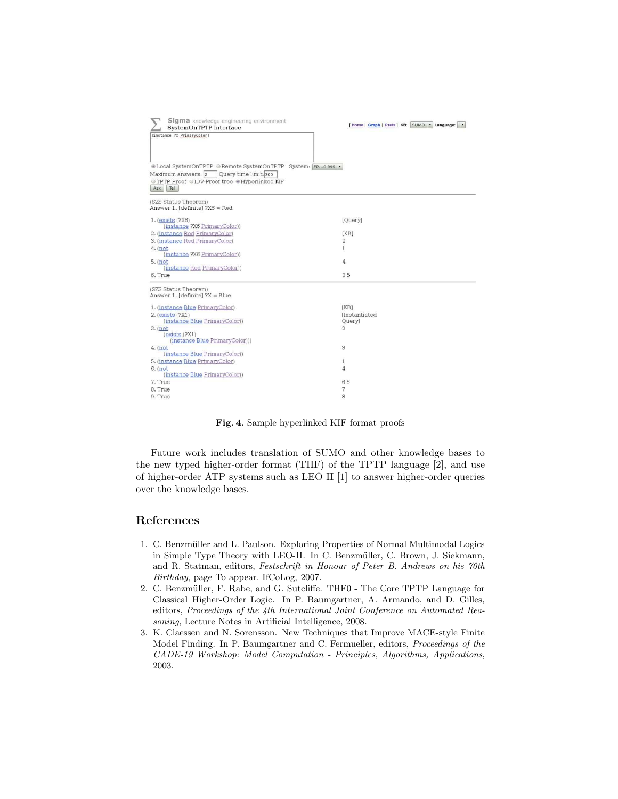| Sigma knowledge engineering environment<br>SystemOnTPTP Interface<br>(instance ?X PrimaryColor)                                                                               | [Home   Graph   Prefs   KB: SUMO . Language: |
|-------------------------------------------------------------------------------------------------------------------------------------------------------------------------------|----------------------------------------------|
| . Local SystemOnTPTP @ Remote SystemOnTPTP System: EP---0.999 .<br>Maximum answers: 2 Query time limit: 300<br>● TPTP Proof ● IDV-Proof tree ● Hyperlinked KIF<br>Ask<br>Tell |                                              |
| (SZS Status Theorem)<br>Answer 1. [definite] ?X6 = Red                                                                                                                        |                                              |
| $1.$ (exists $(2X6)$ )                                                                                                                                                        | [Query]                                      |
| (instance ?X6 PrimaryColor))                                                                                                                                                  |                                              |
| 2. (instance Red PrimaryColor)                                                                                                                                                | [KB]                                         |
| 3. (instance Red PrimaryColor)                                                                                                                                                | 2                                            |
| $4.$ (not                                                                                                                                                                     | $\mathbf{1}$                                 |
| (instance ?X6 PrimaryColor))                                                                                                                                                  |                                              |
| $5.$ (not                                                                                                                                                                     | 4                                            |
| (instance Red PrimaryColor))                                                                                                                                                  |                                              |
| 6. True                                                                                                                                                                       | 35                                           |
| (SZS Status Theorem)<br>Answer 1. [definite] $PX = Blue$                                                                                                                      |                                              |
| 1. (instance Blue PrimaryColor)                                                                                                                                               | [KB]                                         |
| 2. (exists (?X1)                                                                                                                                                              | <b>Instantiated</b>                          |
| (instance Blue PrimaryColor))                                                                                                                                                 | Query]                                       |
| $3.$ (not                                                                                                                                                                     | $\mathfrak{D}$                               |
| (exists(?X1)<br>(instance Blue PrimaryColor)))                                                                                                                                |                                              |
| $4.$ (not<br>(instance Blue PrimaryColor))                                                                                                                                    | 3                                            |
| 5. (instance Blue PrimaryColor)                                                                                                                                               | $\mathbf{1}$                                 |
| $6.$ (not                                                                                                                                                                     | 4                                            |
| (instance Blue PrimaryColor))                                                                                                                                                 |                                              |
| 7. True                                                                                                                                                                       | 65                                           |
| 8. True                                                                                                                                                                       | 7                                            |
| 9. True                                                                                                                                                                       | 8                                            |
|                                                                                                                                                                               |                                              |

Fig. 4. Sample hyperlinked KIF format proofs

Future work includes translation of SUMO and other knowledge bases to the new typed higher-order format (THF) of the TPTP language [2], and use of higher-order ATP systems such as LEO II [1] to answer higher-order queries over the knowledge bases.

## References

- 1. C. Benzmüller and L. Paulson. Exploring Properties of Normal Multimodal Logics in Simple Type Theory with LEO-II. In C. Benzmüller, C. Brown, J. Siekmann, and R. Statman, editors, Festschrift in Honour of Peter B. Andrews on his 70th Birthday, page To appear. IfCoLog, 2007.
- 2. C. Benzmüller, F. Rabe, and G. Sutcliffe. THF0 The Core TPTP Language for Classical Higher-Order Logic. In P. Baumgartner, A. Armando, and D. Gilles, editors, Proceedings of the 4th International Joint Conference on Automated Reasoning, Lecture Notes in Artificial Intelligence, 2008.
- 3. K. Claessen and N. Sorensson. New Techniques that Improve MACE-style Finite Model Finding. In P. Baumgartner and C. Fermueller, editors, Proceedings of the CADE-19 Workshop: Model Computation - Principles, Algorithms, Applications, 2003.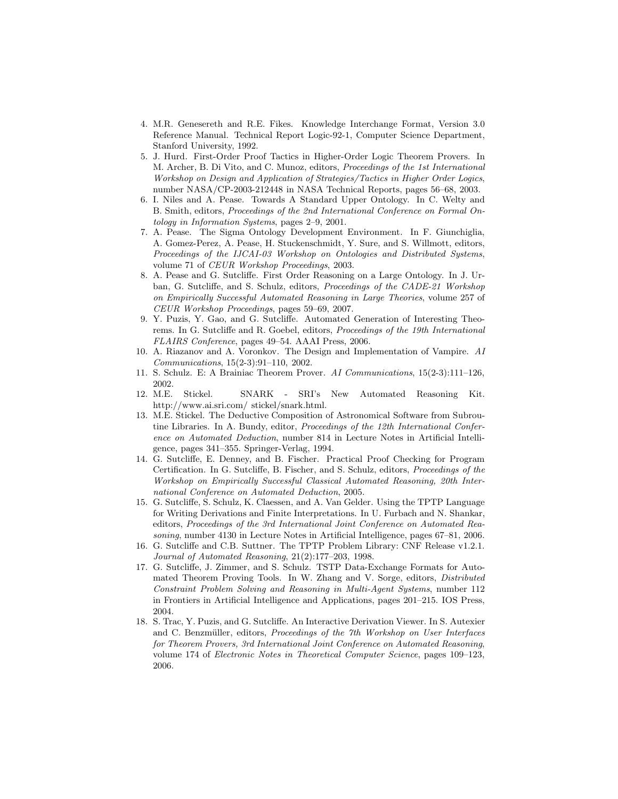- 4. M.R. Genesereth and R.E. Fikes. Knowledge Interchange Format, Version 3.0 Reference Manual. Technical Report Logic-92-1, Computer Science Department, Stanford University, 1992.
- 5. J. Hurd. First-Order Proof Tactics in Higher-Order Logic Theorem Provers. In M. Archer, B. Di Vito, and C. Munoz, editors, Proceedings of the 1st International Workshop on Design and Application of Strategies/Tactics in Higher Order Logics, number NASA/CP-2003-212448 in NASA Technical Reports, pages 56–68, 2003.
- 6. I. Niles and A. Pease. Towards A Standard Upper Ontology. In C. Welty and B. Smith, editors, Proceedings of the 2nd International Conference on Formal Ontology in Information Systems, pages 2–9, 2001.
- 7. A. Pease. The Sigma Ontology Development Environment. In F. Giunchiglia, A. Gomez-Perez, A. Pease, H. Stuckenschmidt, Y. Sure, and S. Willmott, editors, Proceedings of the IJCAI-03 Workshop on Ontologies and Distributed Systems, volume 71 of CEUR Workshop Proceedings, 2003.
- 8. A. Pease and G. Sutcliffe. First Order Reasoning on a Large Ontology. In J. Urban, G. Sutcliffe, and S. Schulz, editors, Proceedings of the CADE-21 Workshop on Empirically Successful Automated Reasoning in Large Theories, volume 257 of CEUR Workshop Proceedings, pages 59–69, 2007.
- 9. Y. Puzis, Y. Gao, and G. Sutcliffe. Automated Generation of Interesting Theorems. In G. Sutcliffe and R. Goebel, editors, Proceedings of the 19th International FLAIRS Conference, pages 49–54. AAAI Press, 2006.
- 10. A. Riazanov and A. Voronkov. The Design and Implementation of Vampire. AI Communications, 15(2-3):91–110, 2002.
- 11. S. Schulz. E: A Brainiac Theorem Prover. AI Communications, 15(2-3):111–126, 2002.
- 12. M.E. Stickel. SNARK SRI's New Automated Reasoning Kit. http://www.ai.sri.com/ stickel/snark.html.
- 13. M.E. Stickel. The Deductive Composition of Astronomical Software from Subroutine Libraries. In A. Bundy, editor, Proceedings of the 12th International Conference on Automated Deduction, number 814 in Lecture Notes in Artificial Intelligence, pages 341–355. Springer-Verlag, 1994.
- 14. G. Sutcliffe, E. Denney, and B. Fischer. Practical Proof Checking for Program Certification. In G. Sutcliffe, B. Fischer, and S. Schulz, editors, Proceedings of the Workshop on Empirically Successful Classical Automated Reasoning, 20th International Conference on Automated Deduction, 2005.
- 15. G. Sutcliffe, S. Schulz, K. Claessen, and A. Van Gelder. Using the TPTP Language for Writing Derivations and Finite Interpretations. In U. Furbach and N. Shankar, editors, Proceedings of the 3rd International Joint Conference on Automated Reasoning, number 4130 in Lecture Notes in Artificial Intelligence, pages 67–81, 2006.
- 16. G. Sutcliffe and C.B. Suttner. The TPTP Problem Library: CNF Release v1.2.1. Journal of Automated Reasoning, 21(2):177–203, 1998.
- 17. G. Sutcliffe, J. Zimmer, and S. Schulz. TSTP Data-Exchange Formats for Automated Theorem Proving Tools. In W. Zhang and V. Sorge, editors, Distributed Constraint Problem Solving and Reasoning in Multi-Agent Systems, number 112 in Frontiers in Artificial Intelligence and Applications, pages 201–215. IOS Press, 2004.
- 18. S. Trac, Y. Puzis, and G. Sutcliffe. An Interactive Derivation Viewer. In S. Autexier and C. Benzmüller, editors, Proceedings of the 7th Workshop on User Interfaces for Theorem Provers, 3rd International Joint Conference on Automated Reasoning, volume 174 of Electronic Notes in Theoretical Computer Science, pages 109–123, 2006.